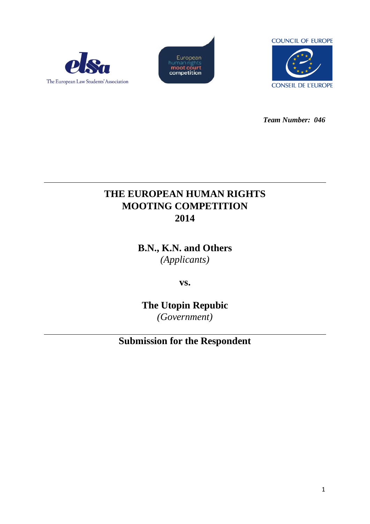





*Team Number: 046*

# **THE EUROPEAN HUMAN RIGHTS MOOTING COMPETITION 2014**

**B.N., K.N. and Others** *(Applicants)*

**vs.**

**The Utopin Repubic** *(Government)*

**Submission for the Respondent**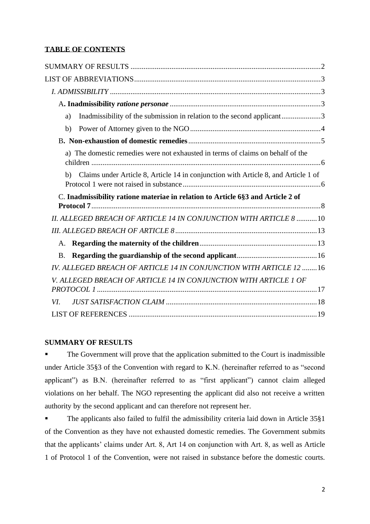# **TABLE OF CONTENTS**

| Inadmissibility of the submission in relation to the second applicant3<br>a)             |  |
|------------------------------------------------------------------------------------------|--|
| b)                                                                                       |  |
|                                                                                          |  |
| a) The domestic remedies were not exhausted in terms of claims on behalf of the          |  |
| Claims under Article 8, Article 14 in conjunction with Article 8, and Article 1 of<br>b) |  |
| C. Inadmissibility ratione materiae in relation to Article 6§3 and Article 2 of          |  |
| II. ALLEGED BREACH OF ARTICLE 14 IN CONJUNCTION WITH ARTICLE 8  10                       |  |
|                                                                                          |  |
| A.                                                                                       |  |
| <b>B.</b>                                                                                |  |
| IV. ALLEGED BREACH OF ARTICLE 14 IN CONJUNCTION WITH ARTICLE 12 16                       |  |
| V. ALLEGED BREACH OF ARTICLE 14 IN CONJUNCTION WITH ARTICLE 1 OF                         |  |
|                                                                                          |  |
| VI.                                                                                      |  |

## <span id="page-1-0"></span>**SUMMARY OF RESULTS**

**• The Government will prove that the application submitted to the Court is inadmissible** under Article 35§3 of the Convention with regard to K.N. (hereinafter referred to as "second applicant") as B.N. (hereinafter referred to as "first applicant") cannot claim alleged violations on her behalf. The NGO representing the applicant did also not receive a written authority by the second applicant and can therefore not represent her.

■ The applicants also failed to fulfil the admissibility criteria laid down in Article 35§1 of the Convention as they have not exhausted domestic remedies. The Government submits that the applicants' claims under Art. 8, Art 14 on conjunction with Art. 8, as well as Article 1 of Protocol 1 of the Convention, were not raised in substance before the domestic courts.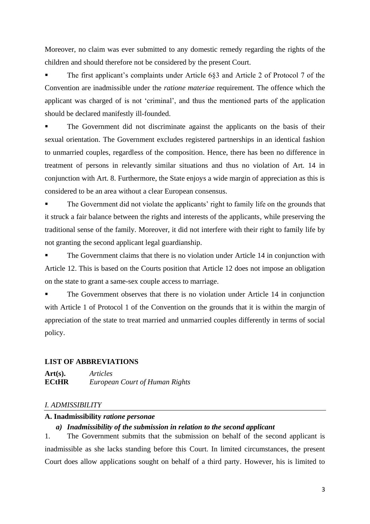Moreover, no claim was ever submitted to any domestic remedy regarding the rights of the children and should therefore not be considered by the present Court.

The first applicant's complaints under Article 6§3 and Article 2 of Protocol 7 of the Convention are inadmissible under the *ratione materiae* requirement. The offence which the applicant was charged of is not 'criminal', and thus the mentioned parts of the application should be declared manifestly ill-founded.

The Government did not discriminate against the applicants on the basis of their sexual orientation. The Government excludes registered partnerships in an identical fashion to unmarried couples, regardless of the composition. Hence, there has been no difference in treatment of persons in relevantly similar situations and thus no violation of Art. 14 in conjunction with Art. 8. Furthermore, the State enjoys a wide margin of appreciation as this is considered to be an area without a clear European consensus.

The Government did not violate the applicants' right to family life on the grounds that it struck a fair balance between the rights and interests of the applicants, while preserving the traditional sense of the family. Moreover, it did not interfere with their right to family life by not granting the second applicant legal guardianship.

The Government claims that there is no violation under Article 14 in conjunction with Article 12. This is based on the Courts position that Article 12 does not impose an obligation on the state to grant a same-sex couple access to marriage.

The Government observes that there is no violation under Article 14 in conjunction with Article 1 of Protocol 1 of the Convention on the grounds that it is within the margin of appreciation of the state to treat married and unmarried couples differently in terms of social policy.

#### <span id="page-2-0"></span>**LIST OF ABBREVIATIONS**

**Art(s).** *Articles* **ECtHR** *European Court of Human Rights*

#### <span id="page-2-1"></span>*I. ADMISSIBILITY*

#### <span id="page-2-3"></span><span id="page-2-2"></span>**A. Inadmissibility** *ratione personae*

#### *a) Inadmissibility of the submission in relation to the second applicant*

1. The Government submits that the submission on behalf of the second applicant is inadmissible as she lacks standing before this Court. In limited circumstances, the present Court does allow applications sought on behalf of a third party. However, his is limited to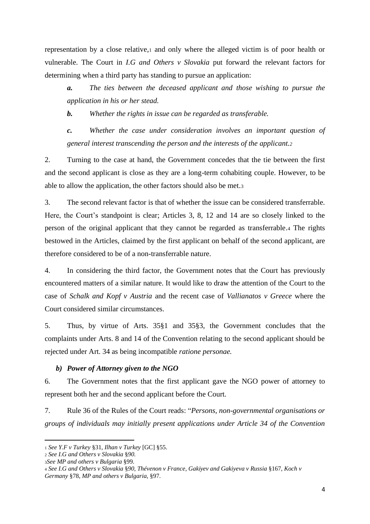representation by a close relative,<sup>1</sup> and only where the alleged victim is of poor health or vulnerable. The Court in *I.G and Others v Slovakia* put forward the relevant factors for determining when a third party has standing to pursue an application:

*a. The ties between the deceased applicant and those wishing to pursue the application in his or her stead.*

*b. Whether the rights in issue can be regarded as transferable.*

*c. Whether the case under consideration involves an important question of general interest transcending the person and the interests of the applicant.<sup>2</sup>*

2. Turning to the case at hand, the Government concedes that the tie between the first and the second applicant is close as they are a long-term cohabiting couple. However, to be able to allow the application, the other factors should also be met.<sup>3</sup>

3. The second relevant factor is that of whether the issue can be considered transferrable. Here, the Court's standpoint is clear; Articles 3, 8, 12 and 14 are so closely linked to the person of the original applicant that they cannot be regarded as transferrable.<sup>4</sup> The rights bestowed in the Articles, claimed by the first applicant on behalf of the second applicant, are therefore considered to be of a non-transferrable nature.

4. In considering the third factor, the Government notes that the Court has previously encountered matters of a similar nature. It would like to draw the attention of the Court to the case of *Schalk and Kopf v Austria* and the recent case of *Vallianatos v Greece* where the Court considered similar circumstances.

5. Thus, by virtue of Arts. 35§1 and 35§3, the Government concludes that the complaints under Arts. 8 and 14 of the Convention relating to the second applicant should be rejected under Art. 34 as being incompatible *ratione personae.* 

#### <span id="page-3-0"></span>*b) Power of Attorney given to the NGO*

6. The Government notes that the first applicant gave the NGO power of attorney to represent both her and the second applicant before the Court.

7. Rule 36 of the Rules of the Court reads: "*Persons, non-governmental organisations or groups of individuals may initially present applications under Article 34 of the Convention* 

<sup>1</sup> *See Y.F v Turkey* §31, *Ilhan v Turkey* [GC] §55.

<sup>2</sup> *See I.G and Others v Slovakia* §*90.*

<sup>3</sup>*See MP and others v Bulgaria* §99.

<sup>4</sup> *See I.G and Others v Slovakia* §*90, Thévenon v France*, *Gakiyev and Gakiyeva v Russia* §167, *Koch v Germany* §78, *MP and others v Bulgaria,* §97.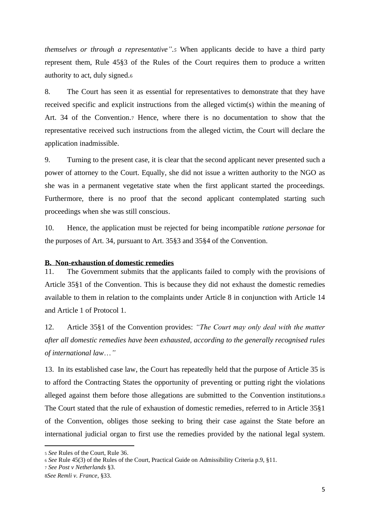*themselves or through a representative".<sup>5</sup>* When applicants decide to have a third party represent them, Rule 45§3 of the Rules of the Court requires them to produce a written authority to act, duly signed.<sup>6</sup>

8. The Court has seen it as essential for representatives to demonstrate that they have received specific and explicit instructions from the alleged victim(s) within the meaning of Art. 34 of the Convention.<sup>7</sup> Hence, where there is no documentation to show that the representative received such instructions from the alleged victim, the Court will declare the application inadmissible.

9. Turning to the present case, it is clear that the second applicant never presented such a power of attorney to the Court. Equally, she did not issue a written authority to the NGO as she was in a permanent vegetative state when the first applicant started the proceedings. Furthermore, there is no proof that the second applicant contemplated starting such proceedings when she was still conscious.

10. Hence, the application must be rejected for being incompatible *ratione personae* for the purposes of Art. 34*,* pursuant to Art. 35§3 and 35§4 of the Convention.

#### <span id="page-4-0"></span>**B. Non-exhaustion of domestic remedies**

11. The Government submits that the applicants failed to comply with the provisions of Article 35§1 of the Convention. This is because they did not exhaust the domestic remedies available to them in relation to the complaints under Article 8 in conjunction with Article 14 and Article 1 of Protocol 1.

12. Article 35§1 of the Convention provides: *"The Court may only deal with the matter after all domestic remedies have been exhausted, according to the generally recognised rules of international law*…*"*

13. In its established case law, the Court has repeatedly held that the purpose of Article 35 is to afford the Contracting States the opportunity of preventing or putting right the violations alleged against them before those allegations are submitted to the Convention institutions.<sup>8</sup> The Court stated that the rule of exhaustion of domestic remedies, referred to in Article 35§1 of the Convention, obliges those seeking to bring their case against the State before an international judicial organ to first use the remedies provided by the national legal system.

<sup>5</sup> *See* Rules of the Court, Rule 36.

<sup>6</sup> *See* Rule 45(3) of the Rules of the Court, Practical Guide on Admissibility Criteria p.9, §11.

<sup>7</sup> *See Post v Netherlands* §3.

<sup>8</sup>*See Remli v. France*, §33.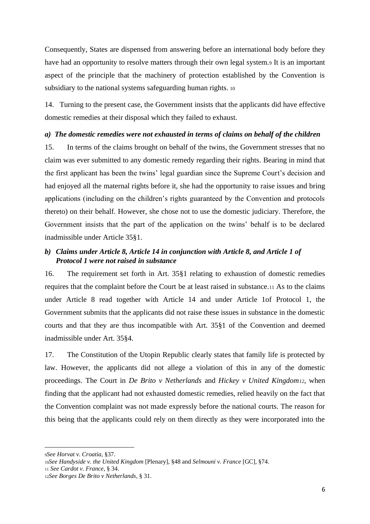Consequently, States are dispensed from answering before an international body before they have had an opportunity to resolve matters through their own legal system.<sup>9</sup> It is an important aspect of the principle that the machinery of protection established by the Convention is subsidiary to the national systems safeguarding human rights. 10

14. Turning to the present case, the Government insists that the applicants did have effective domestic remedies at their disposal which they failed to exhaust.

#### <span id="page-5-0"></span>*a) The domestic remedies were not exhausted in terms of claims on behalf of the children*

15. In terms of the claims brought on behalf of the twins, the Government stresses that no claim was ever submitted to any domestic remedy regarding their rights. Bearing in mind that the first applicant has been the twins' legal guardian since the Supreme Court's decision and had enjoyed all the maternal rights before it, she had the opportunity to raise issues and bring applications (including on the children's rights guaranteed by the Convention and protocols thereto) on their behalf. However, she chose not to use the domestic judiciary. Therefore, the Government insists that the part of the application on the twins' behalf is to be declared inadmissible under Article 35§1.

### <span id="page-5-1"></span>*b) Claims under Article 8, Article 14 in conjunction with Article 8, and Article 1 of Protocol 1 were not raised in substance*

16. The requirement set forth in Art. 35§1 relating to exhaustion of domestic remedies requires that the complaint before the Court be at least raised in substance.<sup>11</sup> As to the claims under Article 8 read together with Article 14 and under Article 1of Protocol 1, the Government submits that the applicants did not raise these issues in substance in the domestic courts and that they are thus incompatible with Art. 35§1 of the Convention and deemed inadmissible under Art. 35§4.

17. The Constitution of the Utopin Republic clearly states that family life is protected by law. However, the applicants did not allege a violation of this in any of the domestic proceedings. The Court in *De Brito v Netherlands* and *Hickey v United Kingdom12,* when finding that the applicant had not exhausted domestic remedies, relied heavily on the fact that the Convention complaint was not made expressly before the national courts. The reason for this being that the applicants could rely on them directly as they were incorporated into the

<sup>9</sup>*See Horvat v. Croatia*, §37.

<sup>10</sup>*See Handyside v. the United Kingdom* [Plenary], §48 and *Selmouni v. France* [GC], §74.

<sup>11</sup> *See Cardot v. France*, § 34.

<sup>12</sup>*See Borges De Brito v Netherlands*, § 31.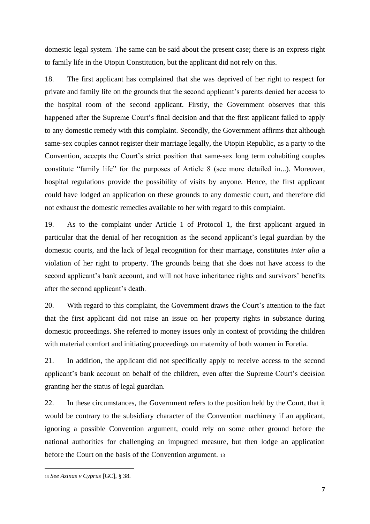domestic legal system. The same can be said about the present case; there is an express right to family life in the Utopin Constitution, but the applicant did not rely on this.

18. The first applicant has complained that she was deprived of her right to respect for private and family life on the grounds that the second applicant's parents denied her access to the hospital room of the second applicant. Firstly, the Government observes that this happened after the Supreme Court's final decision and that the first applicant failed to apply to any domestic remedy with this complaint. Secondly, the Government affirms that although same-sex couples cannot register their marriage legally, the Utopin Republic, as a party to the Convention, accepts the Court's strict position that same-sex long term cohabiting couples constitute "family life" for the purposes of Article 8 (see more detailed in...). Moreover, hospital regulations provide the possibility of visits by anyone. Hence, the first applicant could have lodged an application on these grounds to any domestic court, and therefore did not exhaust the domestic remedies available to her with regard to this complaint.

19. As to the complaint under Article 1 of Protocol 1, the first applicant argued in particular that the denial of her recognition as the second applicant's legal guardian by the domestic courts, and the lack of legal recognition for their marriage, constitutes *inter alia* a violation of her right to property. The grounds being that she does not have access to the second applicant's bank account, and will not have inheritance rights and survivors' benefits after the second applicant's death.

20. With regard to this complaint, the Government draws the Court's attention to the fact that the first applicant did not raise an issue on her property rights in substance during domestic proceedings. She referred to money issues only in context of providing the children with material comfort and initiating proceedings on maternity of both women in Foretia.

21. In addition, the applicant did not specifically apply to receive access to the second applicant's bank account on behalf of the children, even after the Supreme Court's decision granting her the status of legal guardian.

22. In these circumstances, the Government refers to the position held by the Court, that it would be contrary to the subsidiary character of the Convention machinery if an applicant, ignoring a possible Convention argument, could rely on some other ground before the national authorities for challenging an impugned measure, but then lodge an application before the Court on the basis of the Convention argument. <sup>13</sup>

<sup>13</sup> *See Azinas v Cyprus* [GC], § 38.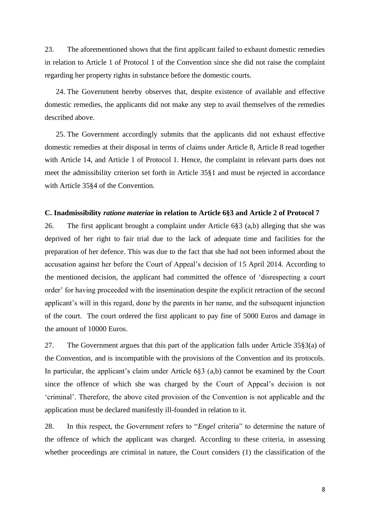23. The aforementioned shows that the first applicant failed to exhaust domestic remedies in relation to Article 1 of Protocol 1 of the Convention since she did not raise the complaint regarding her property rights in substance before the domestic courts.

24. The Government hereby observes that, despite existence of available and effective domestic remedies, the applicants did not make any step to avail themselves of the remedies described above.

25. The Government accordingly submits that the applicants did not exhaust effective domestic remedies at their disposal in terms of claims under Article 8, Article 8 read together with Article 14, and Article 1 of Protocol 1. Hence, the complaint in relevant parts does not meet the admissibility criterion set forth in Article 35§1 and must be rejected in accordance with Article 35§4 of the Convention.

#### <span id="page-7-0"></span>**C. Inadmissibility** *ratione materiae* **in relation to Article 6§3 and Article 2 of Protocol 7**

26. The first applicant brought a complaint under Article 6§3 (a,b) alleging that she was deprived of her right to fair trial due to the lack of adequate time and facilities for the preparation of her defence. This was due to the fact that she had not been informed about the accusation against her before the Court of Appeal's decision of 15 April 2014. According to the mentioned decision, the applicant had committed the offence of 'disrespecting a court order' for having proceeded with the insemination despite the explicit retraction of the second applicant's will in this regard, done by the parents in her name, and the subsequent injunction of the court. The court ordered the first applicant to pay fine of 5000 Euros and damage in the amount of 10000 Euros.

27. The Government argues that this part of the application falls under Article 35§3(a) of the Convention, and is incompatible with the provisions of the Convention and its protocols. In particular, the applicant's claim under Article 6§3 (a,b) cannot be examined by the Court since the offence of which she was charged by the Court of Appeal's decision is not 'criminal'. Therefore, the above cited provision of the Convention is not applicable and the application must be declared manifestly ill-founded in relation to it.

28. In this respect, the Government refers to "*Engel* criteria" to determine the nature of the offence of which the applicant was charged. According to these criteria, in assessing whether proceedings are criminal in nature, the Court considers (1) the classification of the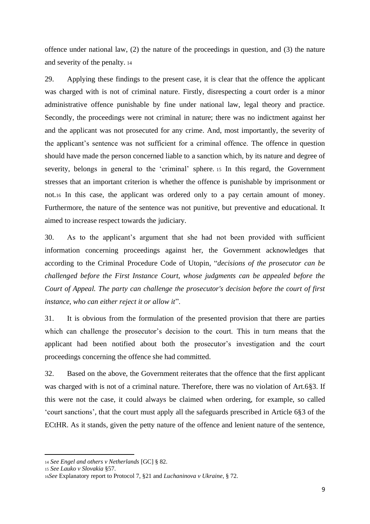offence under national law, (2) the nature of the proceedings in question, and (3) the nature and severity of the penalty. <sup>14</sup>

29. Applying these findings to the present case, it is clear that the offence the applicant was charged with is not of criminal nature. Firstly, disrespecting a court order is a minor administrative offence punishable by fine under national law, legal theory and practice. Secondly, the proceedings were not criminal in nature; there was no indictment against her and the applicant was not prosecuted for any crime. And, most importantly, the severity of the applicant's sentence was not sufficient for a criminal offence. The offence in question should have made the person concerned liable to a sanction which, by its nature and degree of severity, belongs in general to the 'criminal' sphere. <sup>15</sup> In this regard, the Government stresses that an important criterion is whether the offence is punishable by imprisonment or not.<sup>16</sup> In this case, the applicant was ordered only to a pay certain amount of money. Furthermore, the nature of the sentence was not punitive, but preventive and educational. It aimed to increase respect towards the judiciary.

30. As to the applicant's argument that she had not been provided with sufficient information concerning proceedings against her, the Government acknowledges that according to the Criminal Procedure Code of Utopin, "*decisions of the prosecutor can be challenged before the First Instance Court, whose judgments can be appealed before the Court of Appeal. The party can challenge the prosecutor's decision before the court of first instance, who can either reject it or allow it*".

31. It is obvious from the formulation of the presented provision that there are parties which can challenge the prosecutor's decision to the court. This in turn means that the applicant had been notified about both the prosecutor's investigation and the court proceedings concerning the offence she had committed.

32. Based on the above, the Government reiterates that the offence that the first applicant was charged with is not of a criminal nature. Therefore, there was no violation of Art.6§3. If this were not the case, it could always be claimed when ordering, for example, so called 'court sanctions', that the court must apply all the safeguards prescribed in Article 6§3 of the ECtHR. As it stands, given the petty nature of the offence and lenient nature of the sentence,

<sup>14</sup> *See Engel and others v Netherlands* [GC] § 82.

<sup>15</sup> *See Lauko v Slovakia* §57.

<sup>16</sup>*See* Explanatory report to Protocol 7, §21 and *Luchaninova v Ukraine*, § 72.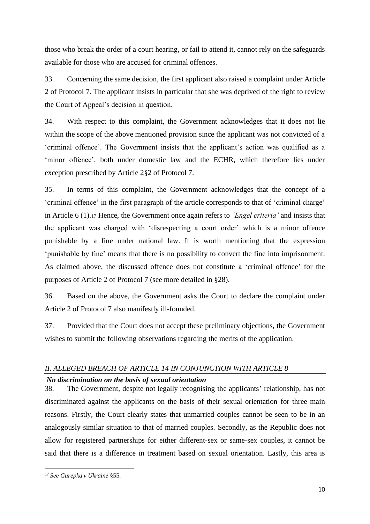those who break the order of a court hearing, or fail to attend it, cannot rely on the safeguards available for those who are accused for criminal offences.

33. Concerning the same decision, the first applicant also raised a complaint under Article 2 of Protocol 7. The applicant insists in particular that she was deprived of the right to review the Court of Appeal's decision in question.

34. With respect to this complaint, the Government acknowledges that it does not lie within the scope of the above mentioned provision since the applicant was not convicted of a 'criminal offence'. The Government insists that the applicant's action was qualified as a 'minor offence', both under domestic law and the ECHR, which therefore lies under exception prescribed by Article 2§2 of Protocol 7.

35. In terms of this complaint, the Government acknowledges that the concept of a 'criminal offence' in the first paragraph of the article corresponds to that of 'criminal charge' in Article 6 (1).<sup>17</sup> Hence, the Government once again refers to *'Engel criteria'* and insists that the applicant was charged with 'disrespecting a court order' which is a minor offence punishable by a fine under national law. It is worth mentioning that the expression 'punishable by fine' means that there is no possibility to convert the fine into imprisonment. As claimed above, the discussed offence does not constitute a 'criminal offence' for the purposes of Article 2 of Protocol 7 (see more detailed in §28).

36. Based on the above, the Government asks the Court to declare the complaint under Article 2 of Protocol 7 also manifestly ill-founded.

37. Provided that the Court does not accept these preliminary objections, the Government wishes to submit the following observations regarding the merits of the application.

# <span id="page-9-0"></span>*II. ALLEGED BREACH OF ARTICLE 14 IN CONJUNCTION WITH ARTICLE 8*

#### *No discrimination on the basis of sexual orientation*

38. The Government, despite not legally recognising the applicants' relationship, has not discriminated against the applicants on the basis of their sexual orientation for three main reasons. Firstly, the Court clearly states that unmarried couples cannot be seen to be in an analogously similar situation to that of married couples. Secondly, as the Republic does not allow for registered partnerships for either different-sex or same-sex couples, it cannot be said that there is a difference in treatment based on sexual orientation. Lastly, this area is

<sup>17</sup> *See Gurepka v Ukraine* §55.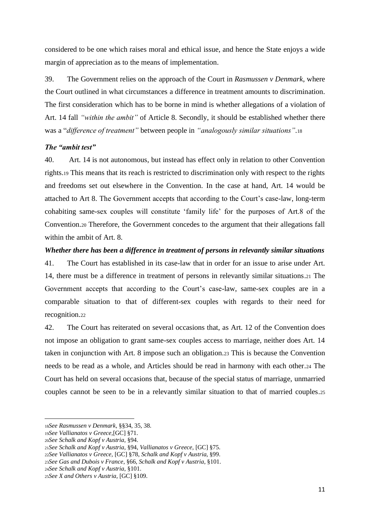considered to be one which raises moral and ethical issue, and hence the State enjoys a wide margin of appreciation as to the means of implementation.

39. The Government relies on the approach of the Court in *Rasmussen v Denmark*, where the Court outlined in what circumstances a difference in treatment amounts to discrimination. The first consideration which has to be borne in mind is whether allegations of a violation of Art. 14 fall *"within the ambit"* of Article 8. Secondly, it should be established whether there was a "*difference of treatment"* between people in *"analogously similar situations".*<sup>18</sup>

## *The "ambit test"*

40. Art. 14 is not autonomous, but instead has effect only in relation to other Convention rights.<sup>19</sup> This means that its reach is restricted to discrimination only with respect to the rights and freedoms set out elsewhere in the Convention. In the case at hand, Art. 14 would be attached to Art 8. The Government accepts that according to the Court's case-law, long-term cohabiting same-sex couples will constitute 'family life' for the purposes of Art.8 of the Convention.<sup>20</sup> Therefore, the Government concedes to the argument that their allegations fall within the ambit of Art. 8.

#### *Whether there has been a difference in treatment of persons in relevantly similar situations*

41. The Court has established in its case-law that in order for an issue to arise under Art. 14, there must be a difference in treatment of persons in relevantly similar situations.<sup>21</sup> The Government accepts that according to the Court's case-law, same-sex couples are in a comparable situation to that of different-sex couples with regards to their need for recognition.<sup>22</sup>

42. The Court has reiterated on several occasions that, as Art. 12 of the Convention does not impose an obligation to grant same-sex couples access to marriage, neither does Art. 14 taken in conjunction with Art. 8 impose such an obligation.<sup>23</sup> This is because the Convention needs to be read as a whole, and Articles should be read in harmony with each other.<sup>24</sup> The Court has held on several occasions that, because of the special status of marriage, unmarried couples cannot be seen to be in a relevantly similar situation to that of married couples.<sup>25</sup>

<sup>18</sup>*See Rasmussen v Denmark,* §§34, 35, 38.

<sup>19</sup>*See Vallianatos v Greece,*[GC] §71.

<sup>20</sup>*See Schalk and Kopf v Austria*, §94.

<sup>21</sup>*See Schalk and Kopf v Austria*, §94, *Vallianatos v Greece,* [GC] §75.

<sup>22</sup>*See Vallianatos v Greece,* [GC] §78, *Schalk and Kopf v Austria*, §99.

<sup>23</sup>*See Gas and Dubois v France*, §66, *Schalk and Kopf v Austria*, §101.

<sup>24</sup>*See Schalk and Kopf v Austria*, §101.

<sup>25</sup>*See X and Others v Austria,* [GC] §109.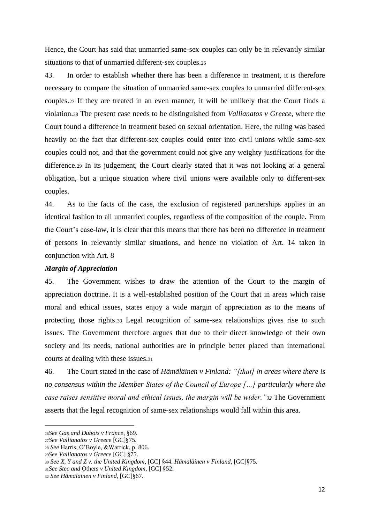Hence, the Court has said that unmarried same-sex couples can only be in relevantly similar situations to that of unmarried different-sex couples.<sup>26</sup>

43. In order to establish whether there has been a difference in treatment, it is therefore necessary to compare the situation of unmarried same-sex couples to unmarried different-sex couples.<sup>27</sup> If they are treated in an even manner, it will be unlikely that the Court finds a violation.<sup>28</sup> The present case needs to be distinguished from *Vallianatos v Greece,* where the Court found a difference in treatment based on sexual orientation. Here, the ruling was based heavily on the fact that different-sex couples could enter into civil unions while same-sex couples could not, and that the government could not give any weighty justifications for the difference.<sup>29</sup> In its judgement, the Court clearly stated that it was not looking at a general obligation, but a unique situation where civil unions were available only to different-sex couples.

44. As to the facts of the case, the exclusion of registered partnerships applies in an identical fashion to all unmarried couples, regardless of the composition of the couple. From the Court's case-law, it is clear that this means that there has been no difference in treatment of persons in relevantly similar situations, and hence no violation of Art. 14 taken in conjunction with Art. 8

#### *Margin of Appreciation*

45. The Government wishes to draw the attention of the Court to the margin of appreciation doctrine. It is a well-established position of the Court that in areas which raise moral and ethical issues, states enjoy a wide margin of appreciation as to the means of protecting those rights.<sup>30</sup> Legal recognition of same-sex relationships gives rise to such issues. The Government therefore argues that due to their direct knowledge of their own society and its needs, national authorities are in principle better placed than international courts at dealing with these issues.<sup>31</sup>

46. The Court stated in the case of *Hämäläinen v Finland: "[that] in areas where there is no consensus within the Member States of the Council of Europe […] particularly where the case raises sensitive moral and ethical issues, the margin will be wider."<sup>32</sup>* The Government asserts that the legal recognition of same-sex relationships would fall within this area.

<sup>26</sup>*See Gas and Dubois v France*, §69.

<sup>27</sup>*See Vallianatos v Greece* [GC]§75.

<sup>28</sup> *See* Harris, O'Boyle, &Warrick, p. 806.

<sup>29</sup>*See Vallianatos v Greece* [GC] §75.

<sup>30</sup> *See X, Y and Z v. the United Kingdom*, [GC] §44. *Hämäläinen v Finland*, [GC]§75.

<sup>31</sup>*See Stec and* Others *v United Kingdom,* [GC] §52.

<sup>32</sup> *See Hämäläinen v Finland*, [GC]§67.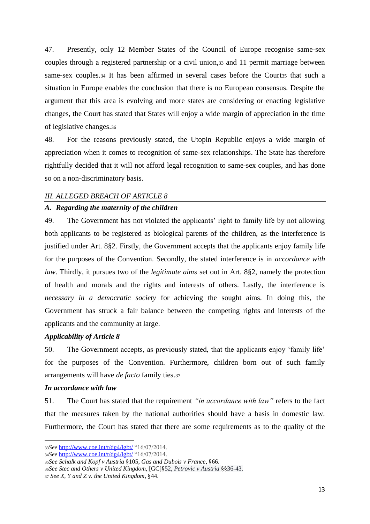47. Presently, only 12 Member States of the Council of Europe recognise same-sex couples through a registered partnership or a civil union,<sup>33</sup> and 11 permit marriage between same-sex couples.34 It has been affirmed in several cases before the Courtas that such a situation in Europe enables the conclusion that there is no European consensus. Despite the argument that this area is evolving and more states are considering or enacting legislative changes, the Court has stated that States will enjoy a wide margin of appreciation in the time of legislative changes.<sup>36</sup>

48. For the reasons previously stated, the Utopin Republic enjoys a wide margin of appreciation when it comes to recognition of same-sex relationships. The State has therefore rightfully decided that it will not afford legal recognition to same-sex couples, and has done so on a non-discriminatory basis.

#### <span id="page-12-0"></span>*III. ALLEGED BREACH OF ARTICLE 8*

#### <span id="page-12-1"></span>*A. Regarding the maternity of the children*

49. The Government has not violated the applicants' right to family life by not allowing both applicants to be registered as biological parents of the children, as the interference is justified under Art. 8§2. Firstly, the Government accepts that the applicants enjoy family life for the purposes of the Convention. Secondly, the stated interference is in *accordance with law*. Thirdly, it pursues two of the *legitimate aims* set out in Art. 8§2, namely the protection of health and morals and the rights and interests of others. Lastly, the interference is *necessary in a democratic society* for achieving the sought aims. In doing this, the Government has struck a fair balance between the competing rights and interests of the applicants and the community at large.

#### *Applicability of Article 8*

50. The Government accepts, as previously stated, that the applicants enjoy 'family life' for the purposes of the Convention. Furthermore, children born out of such family arrangements will have *de facto* family ties.<sup>37</sup>

#### *In accordance with law*

51. The Court has stated that the requirement *"in accordance with law"* refers to the fact that the measures taken by the national authorities should have a basis in domestic law. Furthermore, the Court has stated that there are some requirements as to the quality of the

<sup>33</sup>*See* <http://www.coe.int/t/dg4/lgbt/> "16/07/2014.

<sup>34</sup>*See* <http://www.coe.int/t/dg4/lgbt/> "16/07/2014.

<sup>35</sup>*See Schalk and Kopf v Austria* §105, *Gas and Dubois v France*, §66.

<sup>36</sup>*See Stec and Others v United Kingdom,* [GC]§52, *Petrovic v Austria* §§36-43.

<sup>37</sup> *See X, Y and Z v. the United Kingdom*, §44.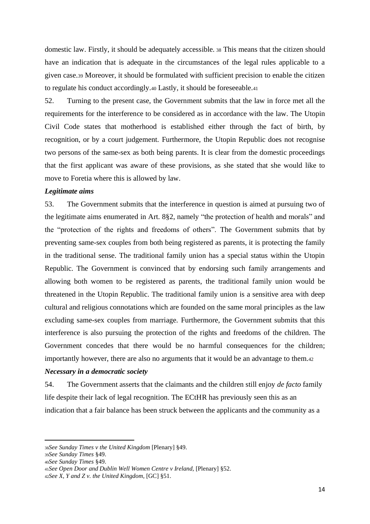domestic law. Firstly, it should be adequately accessible. <sup>38</sup> This means that the citizen should have an indication that is adequate in the circumstances of the legal rules applicable to a given case.<sup>39</sup> Moreover, it should be formulated with sufficient precision to enable the citizen to regulate his conduct accordingly.<sup>40</sup> Lastly, it should be foreseeable.<sup>41</sup>

52. Turning to the present case, the Government submits that the law in force met all the requirements for the interference to be considered as in accordance with the law. The Utopin Civil Code states that motherhood is established either through the fact of birth, by recognition, or by a court judgement. Furthermore, the Utopin Republic does not recognise two persons of the same-sex as both being parents. It is clear from the domestic proceedings that the first applicant was aware of these provisions, as she stated that she would like to move to Foretia where this is allowed by law.

#### *Legitimate aims*

53. The Government submits that the interference in question is aimed at pursuing two of the legitimate aims enumerated in Art. 8§2, namely "the protection of health and morals" and the "protection of the rights and freedoms of others". The Government submits that by preventing same-sex couples from both being registered as parents, it is protecting the family in the traditional sense. The traditional family union has a special status within the Utopin Republic. The Government is convinced that by endorsing such family arrangements and allowing both women to be registered as parents, the traditional family union would be threatened in the Utopin Republic. The traditional family union is a sensitive area with deep cultural and religious connotations which are founded on the same moral principles as the law excluding same-sex couples from marriage. Furthermore, the Government submits that this interference is also pursuing the protection of the rights and freedoms of the children. The Government concedes that there would be no harmful consequences for the children; importantly however, there are also no arguments that it would be an advantage to them.<sup>42</sup>

#### *Necessary in a democratic society*

54. The Government asserts that the claimants and the children still enjoy *de facto* family life despite their lack of legal recognition. The ECtHR has previously seen this as an indication that a fair balance has been struck between the applicants and the community as a

<sup>38</sup>*See Sunday Times v the United Kingdom* [Plenary] §49.

<sup>39</sup>*See Sunday Times* §49.

<sup>40</sup>*See Sunday Times* §49.

<sup>41</sup>*See Open Door and Dublin Well Women Centre v Ireland,* [Plenary] §52.

<sup>42</sup>*See X, Y and Z v. the United Kingdom*, [GC] §51.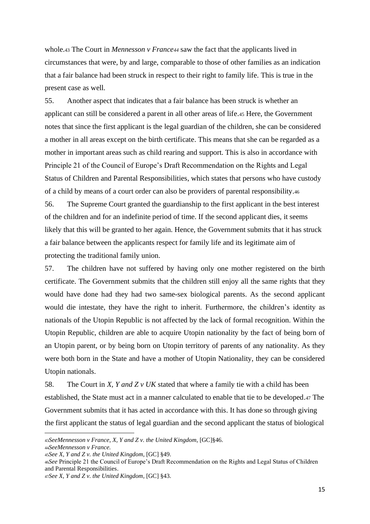whole.<sup>43</sup> The Court in *Mennesson v France<sup>44</sup>* saw the fact that the applicants lived in circumstances that were, by and large, comparable to those of other families as an indication that a fair balance had been struck in respect to their right to family life. This is true in the present case as well.

55. Another aspect that indicates that a fair balance has been struck is whether an applicant can still be considered a parent in all other areas of life.<sup>45</sup> Here, the Government notes that since the first applicant is the legal guardian of the children, she can be considered a mother in all areas except on the birth certificate. This means that she can be regarded as a mother in important areas such as child rearing and support. This is also in accordance with Principle 21 of the Council of Europe's Draft Recommendation on the Rights and Legal Status of Children and Parental Responsibilities, which states that persons who have custody of a child by means of a court order can also be providers of parental responsibility.<sup>46</sup>

56. The Supreme Court granted the guardianship to the first applicant in the best interest of the children and for an indefinite period of time. If the second applicant dies, it seems likely that this will be granted to her again. Hence, the Government submits that it has struck a fair balance between the applicants respect for family life and its legitimate aim of protecting the traditional family union.

57. The children have not suffered by having only one mother registered on the birth certificate. The Government submits that the children still enjoy all the same rights that they would have done had they had two same-sex biological parents. As the second applicant would die intestate, they have the right to inherit. Furthermore, the children's identity as nationals of the Utopin Republic is not affected by the lack of formal recognition. Within the Utopin Republic, children are able to acquire Utopin nationality by the fact of being born of an Utopin parent, or by being born on Utopin territory of parents of any nationality. As they were both born in the State and have a mother of Utopin Nationality, they can be considered Utopin nationals.

58. The Court in *X, Y and Z v UK* stated that where a family tie with a child has been established, the State must act in a manner calculated to enable that tie to be developed.<sup>47</sup> The Government submits that it has acted in accordance with this. It has done so through giving the first applicant the status of legal guardian and the second applicant the status of biological

<sup>43</sup>*SeeMennesson v France*, *X, Y and Z v. the United Kingdom*, [GC]§46. <sup>44</sup>*SeeMennesson v France.*

<sup>45</sup>*See X, Y and Z v. the United Kingdom*, [GC] §49.

<sup>46</sup>*See* Principle 21 the Council of Europe's Draft Recommendation on the Rights and Legal Status of Children and Parental Responsibilities.

<sup>47</sup>*See X, Y and Z v. the United Kingdom*, [GC] §43.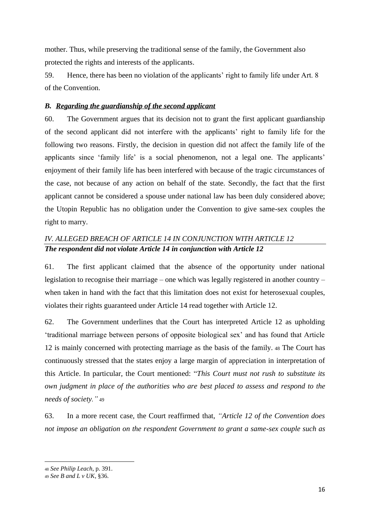mother. Thus, while preserving the traditional sense of the family, the Government also protected the rights and interests of the applicants.

59. Hence, there has been no violation of the applicants' right to family life under Art. 8 of the Convention.

### <span id="page-15-0"></span>*B. Regarding the guardianship of the second applicant*

60. The Government argues that its decision not to grant the first applicant guardianship of the second applicant did not interfere with the applicants' right to family life for the following two reasons. Firstly, the decision in question did not affect the family life of the applicants since 'family life' is a social phenomenon, not a legal one. The applicants' enjoyment of their family life has been interfered with because of the tragic circumstances of the case, not because of any action on behalf of the state. Secondly, the fact that the first applicant cannot be considered a spouse under national law has been duly considered above; the Utopin Republic has no obligation under the Convention to give same-sex couples the right to marry.

# <span id="page-15-1"></span>*IV. ALLEGED BREACH OF ARTICLE 14 IN CONJUNCTION WITH ARTICLE 12 The respondent did not violate Article 14 in conjunction with Article 12*

61. The first applicant claimed that the absence of the opportunity under national legislation to recognise their marriage – one which was legally registered in another country – when taken in hand with the fact that this limitation does not exist for heterosexual couples, violates their rights guaranteed under Article 14 read together with Article 12.

62. The Government underlines that the Court has interpreted Article 12 as upholding 'traditional marriage between persons of opposite biological sex' and has found that Article 12 is mainly concerned with protecting marriage as the basis of the family. <sup>48</sup> The Court has continuously stressed that the states enjoy a large margin of appreciation in interpretation of this Article. In particular, the Court mentioned: "*This Court must not rush to substitute its own judgment in place of the authorities who are best placed to assess and respond to the needs of society."* <sup>49</sup>

63. In a more recent case, the Court reaffirmed that, *"Article 12 of the Convention does not impose an obligation on the respondent Government to grant a same-sex couple such as* 

<sup>48</sup> *See Philip Leach*, p. 391.

<sup>49</sup> *See B and L v UK*, §36.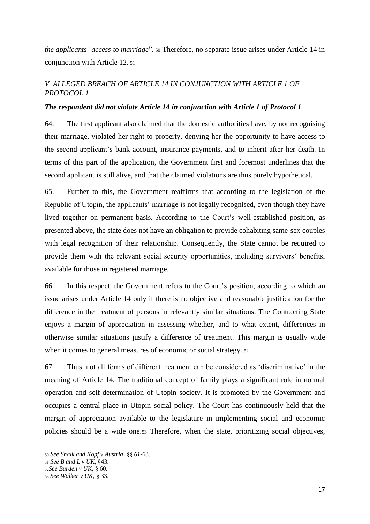*the applicants' access to marriage*". <sup>50</sup> Therefore, no separate issue arises under Article 14 in conjunction with Article 12. <sup>51</sup>

# <span id="page-16-0"></span>*V. ALLEGED BREACH OF ARTICLE 14 IN CONJUNCTION WITH ARTICLE 1 OF PROTOCOL 1*

### *The respondent did not violate Article 14 in conjunction with Article 1 of Protocol 1*

64. The first applicant also claimed that the domestic authorities have, by not recognising their marriage, violated her right to property, denying her the opportunity to have access to the second applicant's bank account, insurance payments, and to inherit after her death. In terms of this part of the application, the Government first and foremost underlines that the second applicant is still alive, and that the claimed violations are thus purely hypothetical.

65. Further to this, the Government reaffirms that according to the legislation of the Republic of Utopin, the applicants' marriage is not legally recognised, even though they have lived together on permanent basis. According to the Court's well-established position, as presented above, the state does not have an obligation to provide cohabiting same-sex couples with legal recognition of their relationship. Consequently, the State cannot be required to provide them with the relevant social security opportunities, including survivors' benefits, available for those in registered marriage.

66. In this respect, the Government refers to the Court's position, according to which an issue arises under Article 14 only if there is no objective and reasonable justification for the difference in the treatment of persons in relevantly similar situations. The Contracting State enjoys a margin of appreciation in assessing whether, and to what extent, differences in otherwise similar situations justify a difference of treatment. This margin is usually wide when it comes to general measures of economic or social strategy. <sup>52</sup>

67. Thus, not all forms of different treatment can be considered as 'discriminative' in the meaning of Article 14. The traditional concept of family plays a significant role in normal operation and self-determination of Utopin society. It is promoted by the Government and occupies a central place in Utopin social policy. The Court has continuously held that the margin of appreciation available to the legislature in implementing social and economic policies should be a wide one.<sup>53</sup> Therefore, when the state, prioritizing social objectives,

<sup>50</sup> *See Shalk and Kopf v Austria,* §§ *61*-63.

<sup>51</sup> *See B and L v UK,* §43.

<sup>52</sup>*See Burden v UK,* § 60.

<sup>53</sup> *See Walker v UK*, § 33.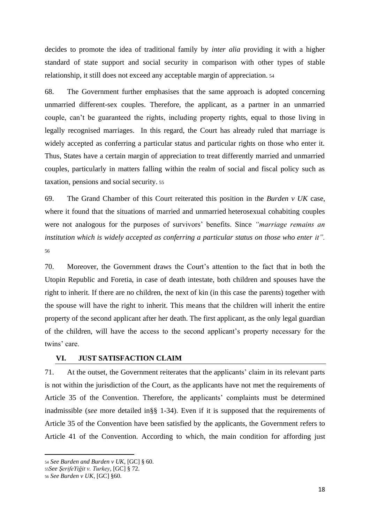decides to promote the idea of traditional family by *inter alia* providing it with a higher standard of state support and social security in comparison with other types of stable relationship, it still does not exceed any acceptable margin of appreciation. <sup>54</sup>

68. The Government further emphasises that the same approach is adopted concerning unmarried different-sex couples. Therefore, the applicant, as a partner in an unmarried couple, can't be guaranteed the rights, including property rights, equal to those living in legally recognised marriages. In this regard, the Court has already ruled that marriage is widely accepted as conferring a particular status and particular rights on those who enter it. Thus, States have a certain margin of appreciation to treat differently married and unmarried couples, particularly in matters falling within the realm of social and fiscal policy such as taxation, pensions and social security. <sup>55</sup>

69. The Grand Chamber of this Court reiterated this position in the *Burden v UK* case, where it found that the situations of married and unmarried heterosexual cohabiting couples were not analogous for the purposes of survivors' benefits. Since *"marriage remains an institution which is widely accepted as conferring a particular status on those who enter it".* 56

70. Moreover, the Government draws the Court's attention to the fact that in both the Utopin Republic and Foretia, in case of death intestate, both children and spouses have the right to inherit. If there are no children, the next of kin (in this case the parents) together with the spouse will have the right to inherit. This means that the children will inherit the entire property of the second applicant after her death. The first applicant, as the only legal guardian of the children, will have the access to the second applicant's property necessary for the twins' care.

#### <span id="page-17-0"></span>**VI. JUST SATISFACTION CLAIM**

71. At the outset, the Government reiterates that the applicants' claim in its relevant parts is not within the jurisdiction of the Court, as the applicants have not met the requirements of Article 35 of the Convention. Therefore, the applicants' complaints must be determined inadmissible (*see* more detailed in§§ 1-34). Even if it is supposed that the requirements of Article 35 of the Convention have been satisfied by the applicants, the Government refers to Article 41 of the Convention. According to which, the main condition for affording just

<sup>54</sup> *See Burden and Burden v UK*, [GC] § 60.

<sup>55</sup>*See ŞerifeYiğit v. Turkey*, [GC] § 72.

<sup>56</sup> *See Burden v UK*, [GC] §60.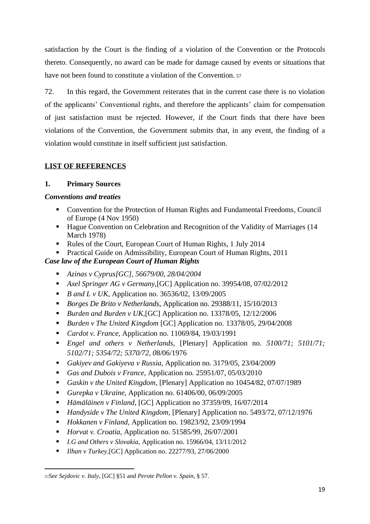satisfaction by the Court is the finding of a violation of the Convention or the Protocols thereto. Consequently, no award can be made for damage caused by events or situations that have not been found to constitute a violation of the Convention. <sup>57</sup>

72. In this regard, the Government reiterates that in the current case there is no violation of the applicants' Conventional rights, and therefore the applicants' claim for compensation of just satisfaction must be rejected. However, if the Court finds that there have been violations of the Convention, the Government submits that, in any event, the finding of a violation would constitute in itself sufficient just satisfaction.

## <span id="page-18-0"></span>**LIST OF REFERENCES**

### **1. Primary Sources**

#### *Conventions and treaties*

- Convention for the Protection of Human Rights and Fundamental Freedoms, Council of Europe (4 Nov 1950)
- Hague Convention on Celebration and Recognition of the Validity of Marriages (14 March 1978)
- Rules of the Court, European Court of Human Rights, 1 July 2014
- Practical Guide on Admissibility, European Court of Human Rights, 2011

### *Case law of the European Court of Human Rights*

- *Azinas v Cyprus[GC], 56679/00, 28/04/2004*
- *Axel Springer AG v Germany*, [GC] Application no. 39954/08, 07/02/2012
- *B and L v UK, Application no.* 36536/02, 13/09/2005
- *Borges De Brito v Netherlands,* Application no. 29388/11, 15/10/2013
- *Burden and Burden v UK*, [GC] Application no. 13378/05, 12/12/2006
- *Burden v The United Kingdom* [GC] Application no. 13378/05, 29/04/2008
- *Cardot v. France, Application no.* 11069/84, 19/03/1991
- *Engel and others v Netherlands,* [Plenary] Application no. *5100/71; 5101/71; 5102/71; 5354/72; 5370/72, 0*8/06/1976
- *Gakiyev and Gakiyeva v Russia,* Application no. 3179/05, 23/04/2009
- *Gas and Dubois v France*, Application no. 25951/07, 05/03/2010
- *Gaskin v the United Kingdom*, [Plenary] Application no 10454/82, 07/07/1989
- *Gurepka v Ukraine,* Application no. 61406/00, 06/09/2005
- *Hämäläinen v Finland*, [GC] Application no 37359/09, 16/07/2014
- *Handyside v The United Kingdom,* [Plenary] Application no. 5493/72, 07/12/1976
- *Hokkanen v Finland,* Application no. 19823/92, 23/09/1994
- *Horvat v. Croatia, Application no.* 51585/99, 26/07/2001
- *I.G and Others v Slovakia,* Application no. 15966/04, 13/11/2012
- *Ilhan v Turkey*, [GC] Application no. 22277/93, 27/06/2000

<sup>57</sup>*See Sejdovic v. Italy,* [GC] §51 and *Perote Pellon v. Spain,* § 57.